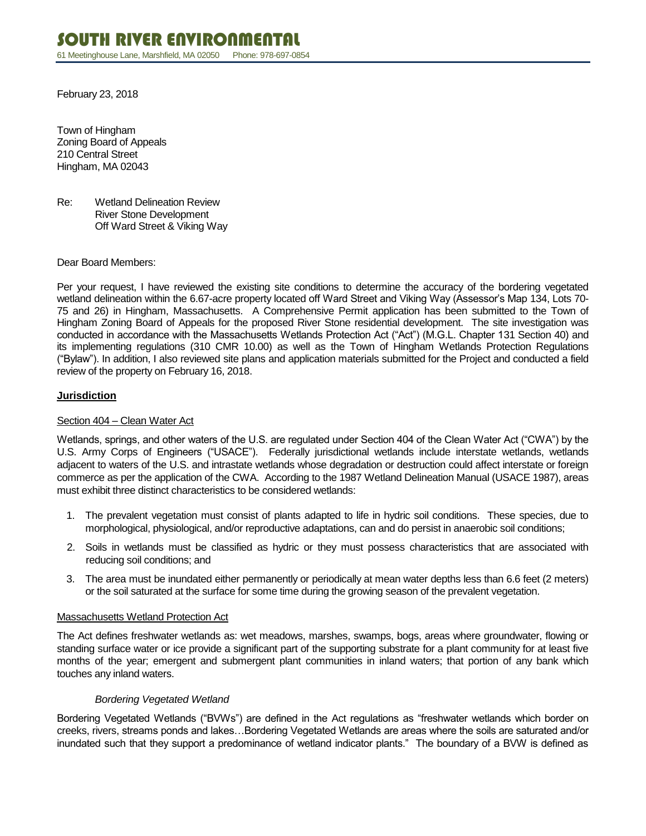February 23, 2018

Town of Hingham Zoning Board of Appeals 210 Central Street Hingham, MA 02043

Re: Wetland Delineation Review River Stone Development Off Ward Street & Viking Way

Dear Board Members:

Per your request, I have reviewed the existing site conditions to determine the accuracy of the bordering vegetated wetland delineation within the 6.67-acre property located off Ward Street and Viking Way (Assessor's Map 134, Lots 70- 75 and 26) in Hingham, Massachusetts. A Comprehensive Permit application has been submitted to the Town of Hingham Zoning Board of Appeals for the proposed River Stone residential development. The site investigation was conducted in accordance with the Massachusetts Wetlands Protection Act ("Act") (M.G.L. Chapter 131 Section 40) and its implementing regulations (310 CMR 10.00) as well as the Town of Hingham Wetlands Protection Regulations ("Bylaw"). In addition, I also reviewed site plans and application materials submitted for the Project and conducted a field review of the property on February 16, 2018.

### **Jurisdiction**

### Section 404 – Clean Water Act

Wetlands, springs, and other waters of the U.S. are regulated under Section 404 of the Clean Water Act ("CWA") by the U.S. Army Corps of Engineers ("USACE"). Federally jurisdictional wetlands include interstate wetlands, wetlands adjacent to waters of the U.S. and intrastate wetlands whose degradation or destruction could affect interstate or foreign commerce as per the application of the CWA. According to the 1987 Wetland Delineation Manual (USACE 1987), areas must exhibit three distinct characteristics to be considered wetlands:

- 1. The prevalent vegetation must consist of plants adapted to life in hydric soil conditions. These species, due to morphological, physiological, and/or reproductive adaptations, can and do persist in anaerobic soil conditions;
- 2. Soils in wetlands must be classified as hydric or they must possess characteristics that are associated with reducing soil conditions; and
- 3. The area must be inundated either permanently or periodically at mean water depths less than 6.6 feet (2 meters) or the soil saturated at the surface for some time during the growing season of the prevalent vegetation.

### Massachusetts Wetland Protection Act

The Act defines freshwater wetlands as: wet meadows, marshes, swamps, bogs, areas where groundwater, flowing or standing surface water or ice provide a significant part of the supporting substrate for a plant community for at least five months of the year; emergent and submergent plant communities in inland waters; that portion of any bank which touches any inland waters.

### *Bordering Vegetated Wetland*

Bordering Vegetated Wetlands ("BVWs") are defined in the Act regulations as "freshwater wetlands which border on creeks, rivers, streams ponds and lakes…Bordering Vegetated Wetlands are areas where the soils are saturated and/or inundated such that they support a predominance of wetland indicator plants." The boundary of a BVW is defined as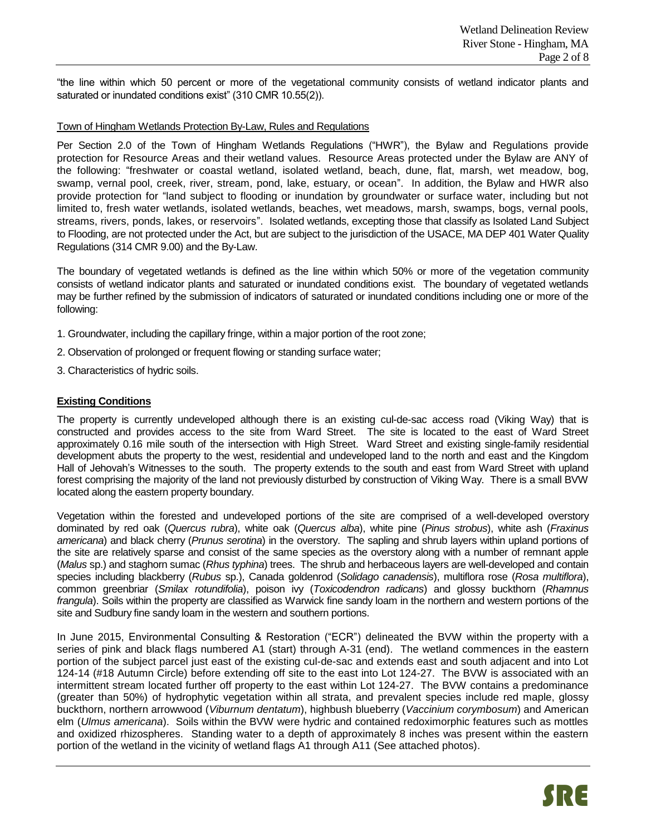"the line within which 50 percent or more of the vegetational community consists of wetland indicator plants and saturated or inundated conditions exist" (310 CMR 10.55(2)).

### Town of Hingham Wetlands Protection By-Law, Rules and Regulations

Per Section 2.0 of the Town of Hingham Wetlands Regulations ("HWR"), the Bylaw and Regulations provide protection for Resource Areas and their wetland values. Resource Areas protected under the Bylaw are ANY of the following: "freshwater or coastal wetland, isolated wetland, beach, dune, flat, marsh, wet meadow, bog, swamp, vernal pool, creek, river, stream, pond, lake, estuary, or ocean". In addition, the Bylaw and HWR also provide protection for "land subject to flooding or inundation by groundwater or surface water, including but not limited to, fresh water wetlands, isolated wetlands, beaches, wet meadows, marsh, swamps, bogs, vernal pools, streams, rivers, ponds, lakes, or reservoirs". Isolated wetlands, excepting those that classify as Isolated Land Subject to Flooding, are not protected under the Act, but are subject to the jurisdiction of the USACE, MA DEP 401 Water Quality Regulations (314 CMR 9.00) and the By-Law.

The boundary of vegetated wetlands is defined as the line within which 50% or more of the vegetation community consists of wetland indicator plants and saturated or inundated conditions exist. The boundary of vegetated wetlands may be further refined by the submission of indicators of saturated or inundated conditions including one or more of the following:

- 1. Groundwater, including the capillary fringe, within a major portion of the root zone;
- 2. Observation of prolonged or frequent flowing or standing surface water;
- 3. Characteristics of hydric soils.

#### **Existing Conditions**

The property is currently undeveloped although there is an existing cul-de-sac access road (Viking Way) that is constructed and provides access to the site from Ward Street. The site is located to the east of Ward Street approximately 0.16 mile south of the intersection with High Street. Ward Street and existing single-family residential development abuts the property to the west, residential and undeveloped land to the north and east and the Kingdom Hall of Jehovah's Witnesses to the south. The property extends to the south and east from Ward Street with upland forest comprising the majority of the land not previously disturbed by construction of Viking Way. There is a small BVW located along the eastern property boundary.

Vegetation within the forested and undeveloped portions of the site are comprised of a well-developed overstory dominated by red oak (*Quercus rubra*), white oak (*Quercus alba*), white pine (*Pinus strobus*), white ash (*Fraxinus americana*) and black cherry (*Prunus serotina*) in the overstory. The sapling and shrub layers within upland portions of the site are relatively sparse and consist of the same species as the overstory along with a number of remnant apple (*Malus* sp.) and staghorn sumac (*Rhus typhina*) trees. The shrub and herbaceous layers are well-developed and contain species including blackberry (*Rubus* sp.), Canada goldenrod (*Solidago canadensis*), multiflora rose (*Rosa multiflora*), common greenbriar (*Smilax rotundifolia*), poison ivy (*Toxicodendron radicans*) and glossy buckthorn (*Rhamnus frangula*). Soils within the property are classified as Warwick fine sandy loam in the northern and western portions of the site and Sudbury fine sandy loam in the western and southern portions.

In June 2015, Environmental Consulting & Restoration ("ECR") delineated the BVW within the property with a series of pink and black flags numbered A1 (start) through A-31 (end). The wetland commences in the eastern portion of the subject parcel just east of the existing cul-de-sac and extends east and south adjacent and into Lot 124-14 (#18 Autumn Circle) before extending off site to the east into Lot 124-27. The BVW is associated with an intermittent stream located further off property to the east within Lot 124-27. The BVW contains a predominance (greater than 50%) of hydrophytic vegetation within all strata, and prevalent species include red maple, glossy buckthorn, northern arrowwood (*Viburnum dentatum*), highbush blueberry (*Vaccinium corymbosum*) and American elm (*Ulmus americana*). Soils within the BVW were hydric and contained redoximorphic features such as mottles and oxidized rhizospheres. Standing water to a depth of approximately 8 inches was present within the eastern portion of the wetland in the vicinity of wetland flags A1 through A11 (See attached photos).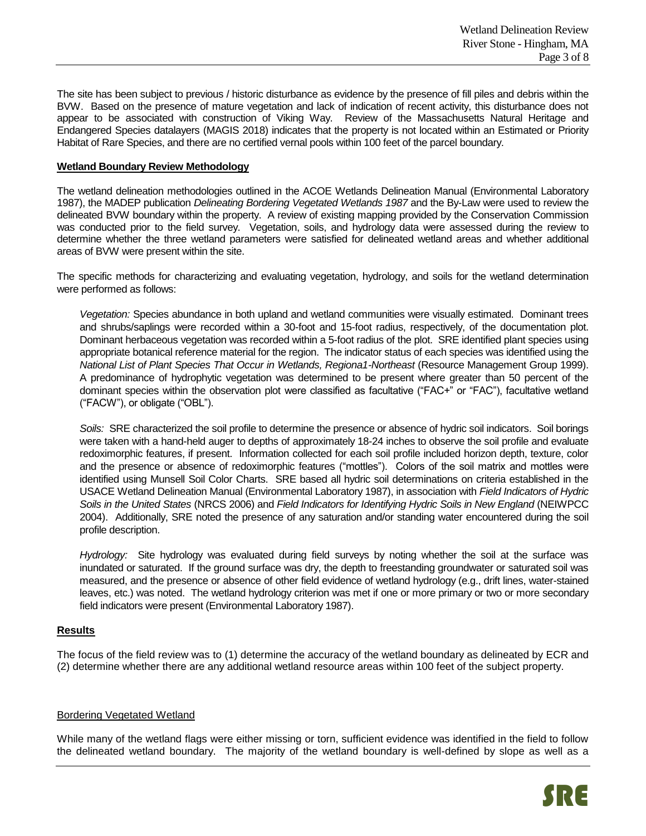The site has been subject to previous / historic disturbance as evidence by the presence of fill piles and debris within the BVW. Based on the presence of mature vegetation and lack of indication of recent activity, this disturbance does not appear to be associated with construction of Viking Way. Review of the Massachusetts Natural Heritage and Endangered Species datalayers (MAGIS 2018) indicates that the property is not located within an Estimated or Priority Habitat of Rare Species, and there are no certified vernal pools within 100 feet of the parcel boundary.

### **Wetland Boundary Review Methodology**

The wetland delineation methodologies outlined in the ACOE Wetlands Delineation Manual (Environmental Laboratory 1987), the MADEP publication *Delineating Bordering Vegetated Wetlands 1987* and the By-Law were used to review the delineated BVW boundary within the property. A review of existing mapping provided by the Conservation Commission was conducted prior to the field survey. Vegetation, soils, and hydrology data were assessed during the review to determine whether the three wetland parameters were satisfied for delineated wetland areas and whether additional areas of BVW were present within the site.

The specific methods for characterizing and evaluating vegetation, hydrology, and soils for the wetland determination were performed as follows:

*Vegetation:* Species abundance in both upland and wetland communities were visually estimated. Dominant trees and shrubs/saplings were recorded within a 30-foot and 15-foot radius, respectively, of the documentation plot. Dominant herbaceous vegetation was recorded within a 5-foot radius of the plot. SRE identified plant species using appropriate botanical reference material for the region. The indicator status of each species was identified using the *National List of Plant Species That Occur in Wetlands, Regiona1-Northeast* (Resource Management Group 1999). A predominance of hydrophytic vegetation was determined to be present where greater than 50 percent of the dominant species within the observation plot were classified as facultative ("FAC+" or "FAC"), facultative wetland ("FACW"), or obligate ("OBL").

*Soils:* SRE characterized the soil profile to determine the presence or absence of hydric soil indicators. Soil borings were taken with a hand-held auger to depths of approximately 18-24 inches to observe the soil profile and evaluate redoximorphic features, if present. Information collected for each soil profile included horizon depth, texture, color and the presence or absence of redoximorphic features ("mottles"). Colors of the soil matrix and mottles were identified using Munsell Soil Color Charts. SRE based all hydric soil determinations on criteria established in the USACE Wetland Delineation Manual (Environmental Laboratory 1987), in association with *Field Indicators of Hydric Soils in the United States* (NRCS 2006) and *Field Indicators for Identifying Hydric Soils in New England* (NEIWPCC 2004). Additionally, SRE noted the presence of any saturation and/or standing water encountered during the soil profile description.

*Hydrology:* Site hydrology was evaluated during field surveys by noting whether the soil at the surface was inundated or saturated. If the ground surface was dry, the depth to freestanding groundwater or saturated soil was measured, and the presence or absence of other field evidence of wetland hydrology (e.g., drift lines, water-stained leaves, etc.) was noted. The wetland hydrology criterion was met if one or more primary or two or more secondary field indicators were present (Environmental Laboratory 1987).

# **Results**

The focus of the field review was to (1) determine the accuracy of the wetland boundary as delineated by ECR and (2) determine whether there are any additional wetland resource areas within 100 feet of the subject property.

### Bordering Vegetated Wetland

While many of the wetland flags were either missing or torn, sufficient evidence was identified in the field to follow the delineated wetland boundary. The majority of the wetland boundary is well-defined by slope as well as a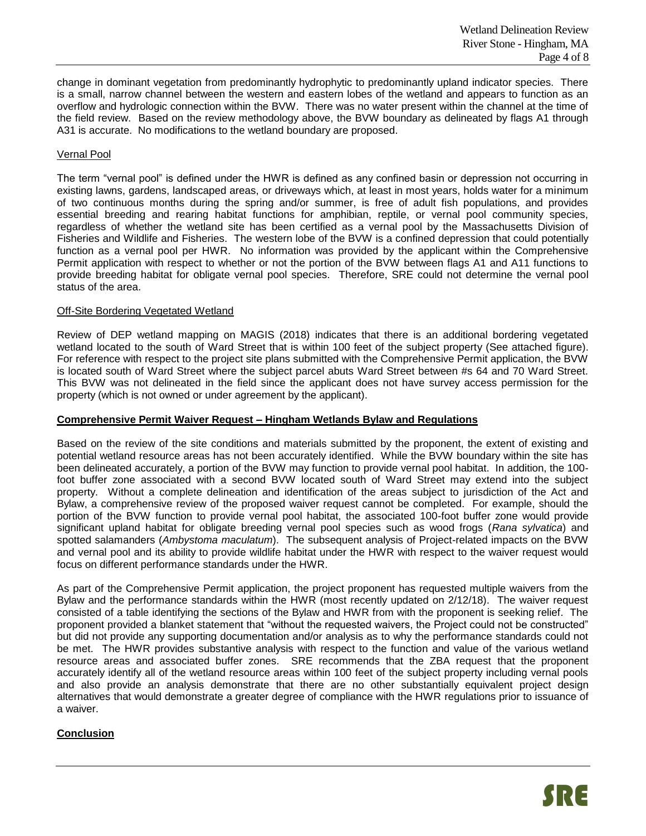change in dominant vegetation from predominantly hydrophytic to predominantly upland indicator species. There is a small, narrow channel between the western and eastern lobes of the wetland and appears to function as an overflow and hydrologic connection within the BVW. There was no water present within the channel at the time of the field review. Based on the review methodology above, the BVW boundary as delineated by flags A1 through A31 is accurate. No modifications to the wetland boundary are proposed.

# Vernal Pool

The term "vernal pool" is defined under the HWR is defined as any confined basin or depression not occurring in existing lawns, gardens, landscaped areas, or driveways which, at least in most years, holds water for a minimum of two continuous months during the spring and/or summer, is free of adult fish populations, and provides essential breeding and rearing habitat functions for amphibian, reptile, or vernal pool community species, regardless of whether the wetland site has been certified as a vernal pool by the Massachusetts Division of Fisheries and Wildlife and Fisheries. The western lobe of the BVW is a confined depression that could potentially function as a vernal pool per HWR. No information was provided by the applicant within the Comprehensive Permit application with respect to whether or not the portion of the BVW between flags A1 and A11 functions to provide breeding habitat for obligate vernal pool species. Therefore, SRE could not determine the vernal pool status of the area.

### Off-Site Bordering Vegetated Wetland

Review of DEP wetland mapping on MAGIS (2018) indicates that there is an additional bordering vegetated wetland located to the south of Ward Street that is within 100 feet of the subject property (See attached figure). For reference with respect to the project site plans submitted with the Comprehensive Permit application, the BVW is located south of Ward Street where the subject parcel abuts Ward Street between #s 64 and 70 Ward Street. This BVW was not delineated in the field since the applicant does not have survey access permission for the property (which is not owned or under agreement by the applicant).

#### **Comprehensive Permit Waiver Request – Hingham Wetlands Bylaw and Regulations**

Based on the review of the site conditions and materials submitted by the proponent, the extent of existing and potential wetland resource areas has not been accurately identified. While the BVW boundary within the site has been delineated accurately, a portion of the BVW may function to provide vernal pool habitat. In addition, the 100 foot buffer zone associated with a second BVW located south of Ward Street may extend into the subject property. Without a complete delineation and identification of the areas subject to jurisdiction of the Act and Bylaw, a comprehensive review of the proposed waiver request cannot be completed. For example, should the portion of the BVW function to provide vernal pool habitat, the associated 100-foot buffer zone would provide significant upland habitat for obligate breeding vernal pool species such as wood frogs (*Rana sylvatica*) and spotted salamanders (*Ambystoma maculatum*). The subsequent analysis of Project-related impacts on the BVW and vernal pool and its ability to provide wildlife habitat under the HWR with respect to the waiver request would focus on different performance standards under the HWR.

As part of the Comprehensive Permit application, the project proponent has requested multiple waivers from the Bylaw and the performance standards within the HWR (most recently updated on 2/12/18). The waiver request consisted of a table identifying the sections of the Bylaw and HWR from with the proponent is seeking relief. The proponent provided a blanket statement that "without the requested waivers, the Project could not be constructed" but did not provide any supporting documentation and/or analysis as to why the performance standards could not be met. The HWR provides substantive analysis with respect to the function and value of the various wetland resource areas and associated buffer zones. SRE recommends that the ZBA request that the proponent accurately identify all of the wetland resource areas within 100 feet of the subject property including vernal pools and also provide an analysis demonstrate that there are no other substantially equivalent project design alternatives that would demonstrate a greater degree of compliance with the HWR regulations prior to issuance of a waiver.

# **Conclusion**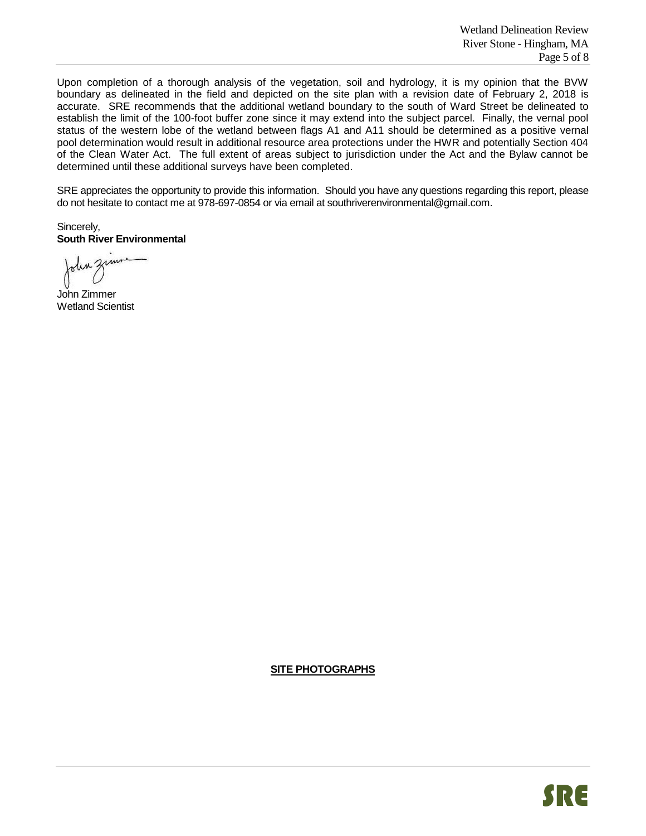Upon completion of a thorough analysis of the vegetation, soil and hydrology, it is my opinion that the BVW boundary as delineated in the field and depicted on the site plan with a revision date of February 2, 2018 is accurate. SRE recommends that the additional wetland boundary to the south of Ward Street be delineated to establish the limit of the 100-foot buffer zone since it may extend into the subject parcel. Finally, the vernal pool status of the western lobe of the wetland between flags A1 and A11 should be determined as a positive vernal pool determination would result in additional resource area protections under the HWR and potentially Section 404 of the Clean Water Act. The full extent of areas subject to jurisdiction under the Act and the Bylaw cannot be determined until these additional surveys have been completed.

SRE appreciates the opportunity to provide this information. Should you have any questions regarding this report, please do not hesitate to contact me at 978-697-0854 or via email at southriverenvironmental@gmail.com.

Sincerely, **South River Environmental**

John Zimmer Wetland Scientist

**SITE PHOTOGRAPHS**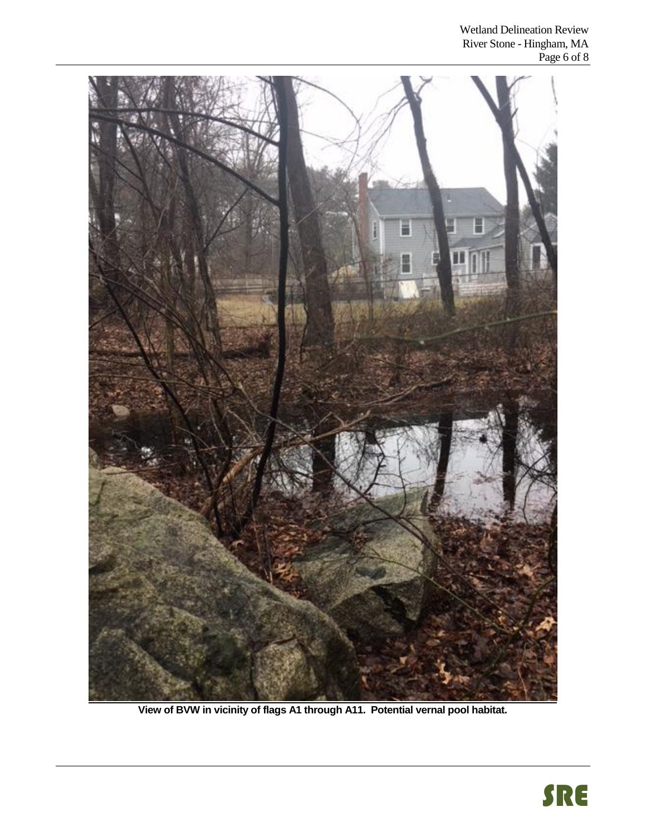

**View of BVW in vicinity of flags A1 through A11. Potential vernal pool habitat.**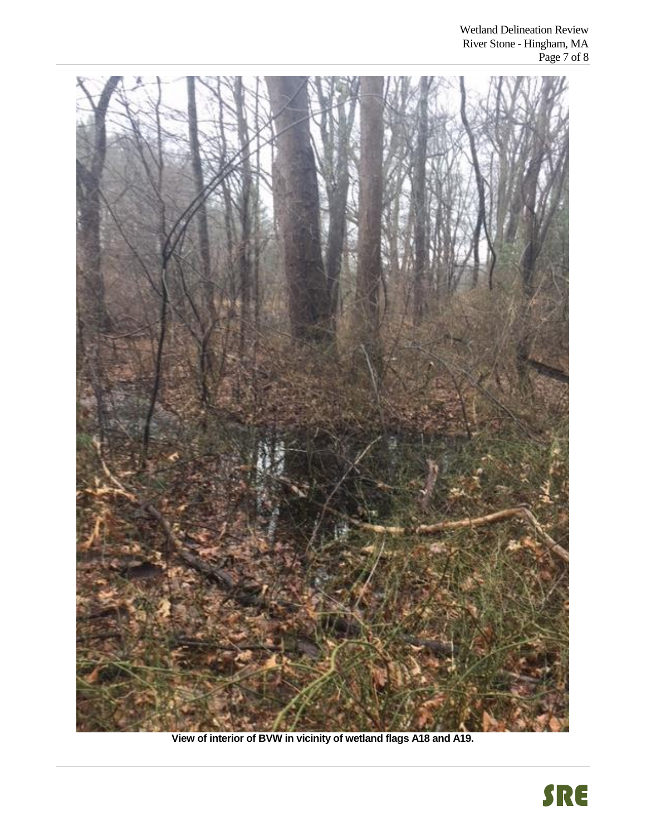

**View of interior of BVW in vicinity of wetland flags A18 and A19.**